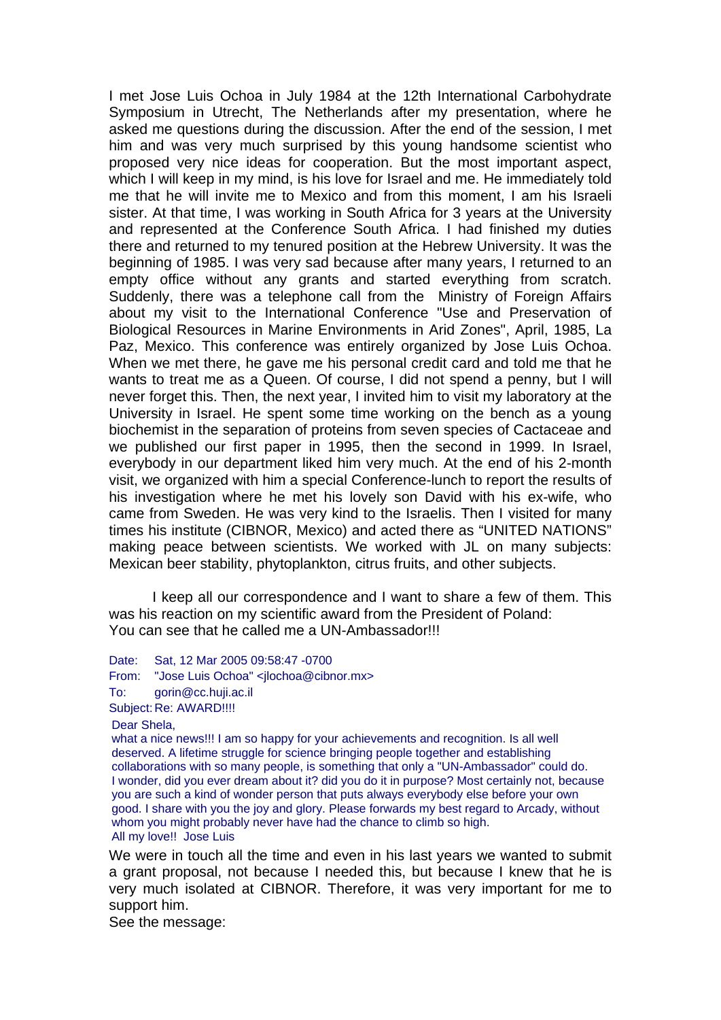I met Jose Luis Ochoa in July 1984 at the 12th International Carbohydrate Symposium in Utrecht, The Netherlands after my presentation, where he asked me questions during the discussion. After the end of the session, I met him and was very much surprised by this young handsome scientist who proposed very nice ideas for cooperation. But the most important aspect, which I will keep in my mind, is his love for Israel and me. He immediately told me that he will invite me to Mexico and from this moment, I am his Israeli sister. At that time, I was working in South Africa for 3 years at the University and represented at the Conference South Africa. I had finished my duties there and returned to my tenured position at the Hebrew University. It was the beginning of 1985. I was very sad because after many years, I returned to an empty office without any grants and started everything from scratch. Suddenly, there was a telephone call from the Ministry of Foreign Affairs about my visit to the International Conference "Use and Preservation of Biological Resources in Marine Environments in Arid Zones", April, 1985, La Paz, Mexico. This conference was entirely organized by Jose Luis Ochoa. When we met there, he gave me his personal credit card and told me that he wants to treat me as a Queen. Of course, I did not spend a penny, but I will never forget this. Then, the next year, I invited him to visit my laboratory at the University in Israel. He spent some time working on the bench as a young biochemist in the separation of proteins from seven species of Cactaceae and we published our first paper in 1995, then the second in 1999. In Israel, everybody in our department liked him very much. At the end of his 2-month visit, we organized with him a special Conference-lunch to report the results of his investigation where he met his lovely son David with his ex-wife, who came from Sweden. He was very kind to the Israelis. Then I visited for many times his institute (CIBNOR, Mexico) and acted there as "UNITED NATIONS" making peace between scientists. We worked with JL on many subjects: Mexican beer stability, phytoplankton, citrus fruits, and other subjects.

I keep all our correspondence and I want to share a few of them. This was his reaction on my scientific award from the President of Poland: You can see that he called me a UN-Ambassador!!!

Date: Sat, 12 Mar 2005 09:58:47 -0700

From: "Jose Luis Ochoa" <ilochoa@cibnor.mx>

To: [gorin@cc.huji.ac.il](javascript:popup_imp()

Subject: Re: AWARD!!!!

Dear Shela,

what a nice news!!! I am so happy for your achievements and recognition. Is all well deserved. A lifetime struggle for science bringing people together and establishing collaborations with so many people, is something that only a "UN-Ambassador" could do. I wonder, did you ever dream about it? did you do it in purpose? Most certainly not, because you are such a kind of wonder person that puts always everybody else before your own good. I share with you the joy and glory. Please forwards my best regard to Arcady, without whom you might probably never have had the chance to climb so high. All my love!! Jose Luis

We were in touch all the time and even in his last years we wanted to submit a grant proposal, not because I needed this, but because I knew that he is very much isolated at CIBNOR. Therefore, it was very important for me to support him.

See the message: